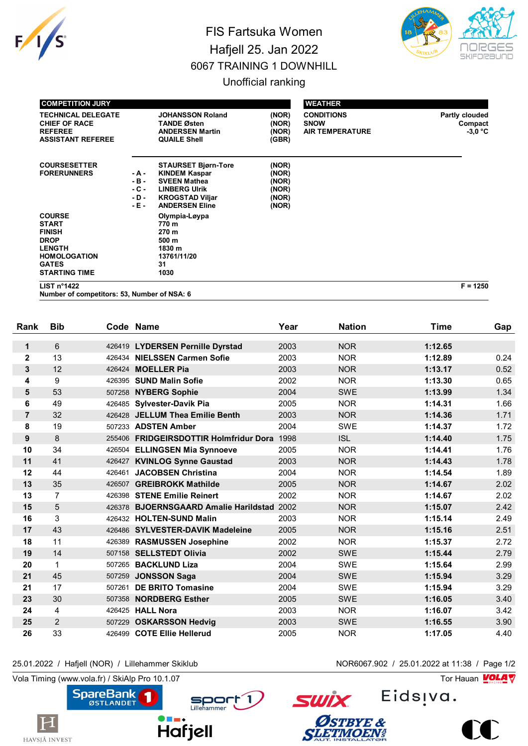

## FIS Fartsuka Women Hafjell 25. Jan 2022 6067 TRAINING 1 DOWNHILL Unofficial ranking



| <b>COMPETITION JURY</b>                                                                                                                       |                                             |                                                                                                                                                      |                                                    | <b>WEATHER</b>                                             |                                        |  |  |
|-----------------------------------------------------------------------------------------------------------------------------------------------|---------------------------------------------|------------------------------------------------------------------------------------------------------------------------------------------------------|----------------------------------------------------|------------------------------------------------------------|----------------------------------------|--|--|
| <b>TECHNICAL DELEGATE</b><br><b>CHIEF OF RACE</b><br><b>REFEREE</b><br><b>ASSISTANT REFEREE</b>                                               |                                             | <b>JOHANSSON Roland</b><br><b>TANDE Østen</b><br><b>ANDERSEN Martin</b><br><b>QUAILE Shell</b>                                                       | (NOR)<br>(NOR)<br>(NOR)<br>(GBR)                   | <b>CONDITIONS</b><br><b>SNOW</b><br><b>AIR TEMPERATURE</b> | Partly clouded<br>Compact<br>$-3.0 °C$ |  |  |
| <b>COURSESETTER</b><br><b>FORERUNNERS</b>                                                                                                     | - A -<br>$-B -$<br>- C -<br>$-D -$<br>- E - | <b>STAURSET Bjørn-Tore</b><br><b>KINDEM Kaspar</b><br><b>SVEEN Mathea</b><br><b>LINBERG UIrik</b><br><b>KROGSTAD Viljar</b><br><b>ANDERSEN Eline</b> | (NOR)<br>(NOR)<br>(NOR)<br>(NOR)<br>(NOR)<br>(NOR) |                                                            |                                        |  |  |
| <b>COURSE</b><br><b>START</b><br><b>FINISH</b><br><b>DROP</b><br><b>LENGTH</b><br><b>HOMOLOGATION</b><br><b>GATES</b><br><b>STARTING TIME</b> |                                             | Olympia-Løypa<br>770 m<br>270 m<br>500 m<br>1830 m<br>13761/11/20<br>31<br>1030                                                                      |                                                    |                                                            |                                        |  |  |

**LIST n°1422 F = 1250**

**Number of competitors: 53, Number of NSA: 6**

| Rank             | <b>Bib</b>     |        | Code Name                                  | Year | <b>Nation</b> | <b>Time</b> | Gap  |
|------------------|----------------|--------|--------------------------------------------|------|---------------|-------------|------|
| 1                | $6\phantom{1}$ |        | 426419 LYDERSEN Pernille Dyrstad           | 2003 | <b>NOR</b>    | 1:12.65     |      |
| $\mathbf 2$      | 13             |        | 426434 NIELSSEN Carmen Sofie               | 2003 | <b>NOR</b>    | 1:12.89     | 0.24 |
| 3                | 12             |        | 426424 MOELLER Pia                         | 2003 | <b>NOR</b>    | 1:13.17     | 0.52 |
| 4                | 9              |        | 426395 SUND Malin Sofie                    | 2002 | <b>NOR</b>    | 1:13.30     | 0.65 |
| 5                | 53             |        | 507258 NYBERG Sophie                       | 2004 | <b>SWE</b>    | 1:13.99     | 1.34 |
| 6                | 49             |        | 426485 Sylvester-Davik Pia                 | 2005 | <b>NOR</b>    | 1:14.31     | 1.66 |
| $\overline{7}$   | 32             |        | 426428 JELLUM Thea Emilie Benth            | 2003 | <b>NOR</b>    | 1:14.36     | 1.71 |
| 8                | 19             |        | 507233 ADSTEN Amber                        | 2004 | <b>SWE</b>    | 1:14.37     | 1.72 |
| $\boldsymbol{9}$ | 8              |        | 255406 FRIDGEIRSDOTTIR Holmfridur Dora     | 1998 | <b>ISL</b>    | 1:14.40     | 1.75 |
| 10               | 34             |        | 426504 ELLINGSEN Mia Synnoeve              | 2005 | <b>NOR</b>    | 1:14.41     | 1.76 |
| 11               | 41             |        | 426427 KVINLOG Synne Gaustad               | 2003 | <b>NOR</b>    | 1:14.43     | 1.78 |
| 12               | 44             |        | 426461 JACOBSEN Christina                  | 2004 | <b>NOR</b>    | 1:14.54     | 1.89 |
| 13               | 35             | 426507 | <b>GREIBROKK Mathilde</b>                  | 2005 | <b>NOR</b>    | 1:14.67     | 2.02 |
| 13               | 7              |        | 426398 STENE Emilie Reinert                | 2002 | <b>NOR</b>    | 1:14.67     | 2.02 |
| 15               | 5              | 426378 | <b>BJOERNSGAARD Amalie Harildstad 2002</b> |      | <b>NOR</b>    | 1:15.07     | 2.42 |
| 16               | 3              |        | 426432 HOLTEN-SUND Malin                   | 2003 | <b>NOR</b>    | 1:15.14     | 2.49 |
| 17               | 43             |        | 426486 SYLVESTER-DAVIK Madeleine           | 2005 | <b>NOR</b>    | 1:15.16     | 2.51 |
| 18               | 11             |        | 426389 RASMUSSEN Josephine                 | 2002 | <b>NOR</b>    | 1:15.37     | 2.72 |
| 19               | 14             |        | 507158 SELLSTEDT Olivia                    | 2002 | <b>SWE</b>    | 1:15.44     | 2.79 |
| 20               | 1              | 507265 | <b>BACKLUND Liza</b>                       | 2004 | <b>SWE</b>    | 1:15.64     | 2.99 |
| 21               | 45             |        | 507259 JONSSON Saga                        | 2004 | <b>SWE</b>    | 1:15.94     | 3.29 |
| 21               | 17             | 507261 | <b>DE BRITO Tomasine</b>                   | 2004 | <b>SWE</b>    | 1:15.94     | 3.29 |
| 23               | 30             | 507358 | <b>NORDBERG Esther</b>                     | 2005 | <b>SWE</b>    | 1:16.05     | 3.40 |
| 24               | 4              |        | 426425 HALL Nora                           | 2003 | <b>NOR</b>    | 1:16.07     | 3.42 |
| 25               | $\overline{c}$ | 507229 | <b>OSKARSSON Hedvig</b>                    | 2003 | <b>SWE</b>    | 1:16.55     | 3.90 |
| 26               | 33             |        | 426499 COTE Ellie Hellerud                 | 2005 | <b>NOR</b>    | 1:17.05     | 4.40 |

## 25.01.2022 / Hafjell (NOR) / Lillehammer Skiklub NOR6067.902 / 25.01.2022 at 11:38 / Page 1/2

Vola Timing (www.vola.fr) / SkiAlp Pro 10.1.07

 $\mathbf H$ 

HAVSJÅ INVEST



Eids<sub>!va.</sub>



**SWİX**